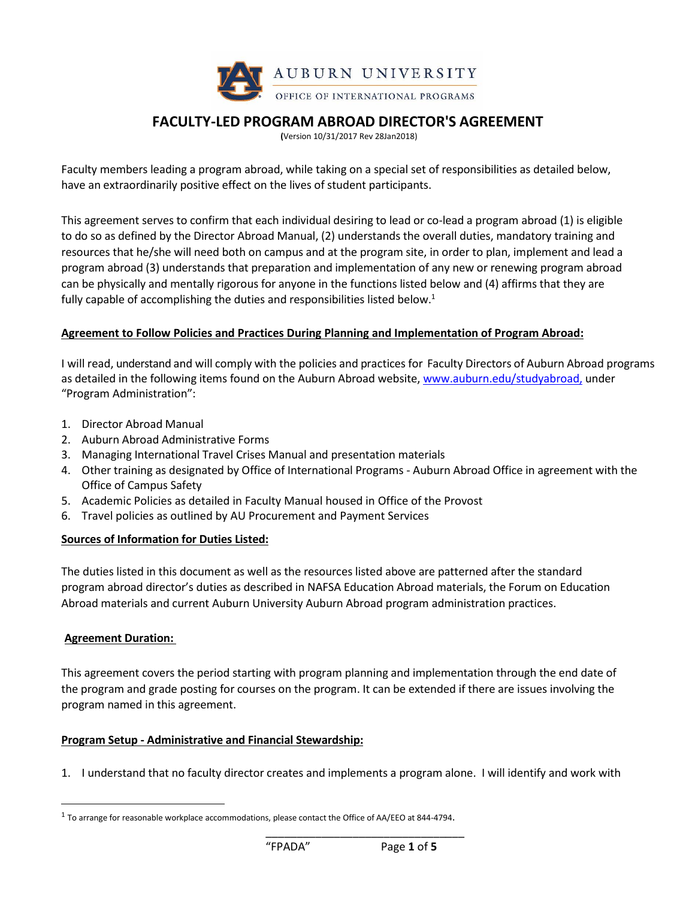

# **FACULTY-LED PROGRAM ABROAD DIRECTOR'S AGREEMENT**

**(**Version 10/31/2017 Rev 28Jan2018)

Faculty members leading a program abroad, while taking on a special set of responsibilities as detailed below, have an extraordinarily positive effect on the lives of student participants.

This agreement serves to confirm that each individual desiring to lead or co-lead a program abroad (1) is eligible to do so as defined by the Director Abroad Manual, (2) understands the overall duties, mandatory training and resources that he/she will need both on campus and at the program site, in order to plan, implement and lead a program abroad (3) understands that preparation and implementation of any new or renewing program abroad can be physically and mentally rigorous for anyone in the functions listed below and (4) affirms that they are fully capable of accomplishing the duties and responsibilities listed below.<sup>1</sup>

## **Agreement to Follow Policies and Practices During Planning and Implementation of Program Abroad:**

I will read, understand and will comply with the policies and practices for Faculty Directors of Auburn Abroad programs as detailed in the following items found on the Auburn Abroad website[, www.auburn.edu/studyabroad,](http://www.auburn.edu/studyabroad) under "Program Administration":

- 1. Director Abroad Manual
- 2. Auburn Abroad Administrative Forms
- 3. Managing International Travel Crises Manual and presentation materials
- 4. Other training as designated by Office of International Programs Auburn Abroad Office in agreement with the Office of Campus Safety
- 5. Academic Policies as detailed in Faculty Manual housed in Office of the Provost
- 6. Travel policies as outlined by AU Procurement and Payment Services

#### **Sources of Information for Duties Listed:**

The duties listed in this document as well as the resources listed above are patterned after the standard program abroad director's duties as described in NAFSA Education Abroad materials, the Forum on Education Abroad materials and current Auburn University Auburn Abroad program administration practices.

#### **Agreement Duration:**

 $\overline{\phantom{a}}$ 

This agreement covers the period starting with program planning and implementation through the end date of the program and grade posting for courses on the program. It can be extended if there are issues involving the program named in this agreement.

#### **Program Setup - Administrative and Financial Stewardship:**

1. I understand that no faculty director creates and implements a program alone. I will identify and work with

 $^{\rm 1}$  To arrange for reasonable workplace accommodations, please contact the Office of AA/EEO at 844-4794.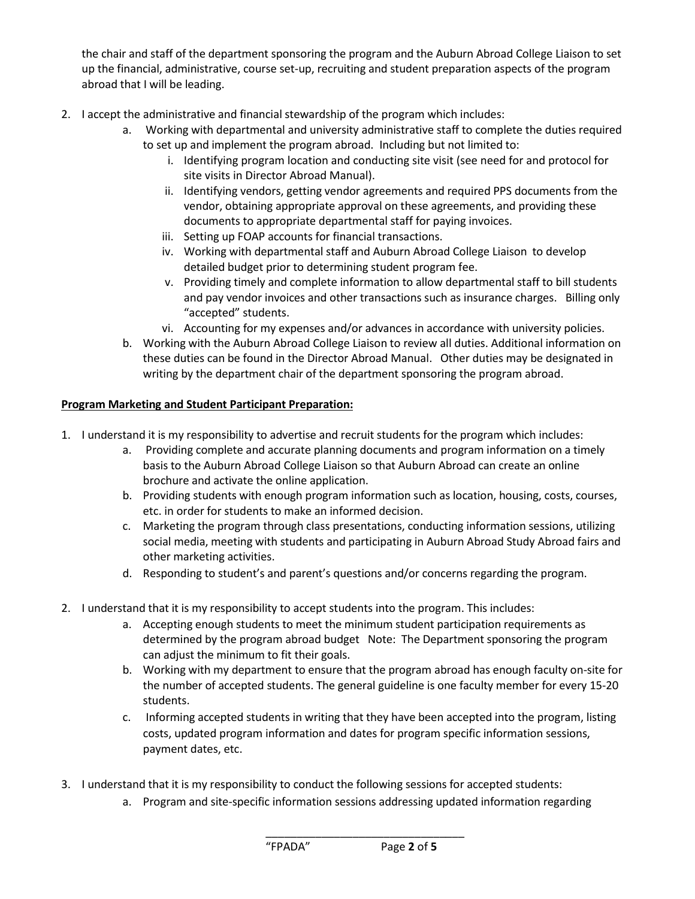the chair and staff of the department sponsoring the program and the Auburn Abroad College Liaison to set up the financial, administrative, course set-up, recruiting and student preparation aspects of the program abroad that I will be leading.

- 2. I accept the administrative and financial stewardship of the program which includes:
	- a. Working with departmental and university administrative staff to complete the duties required to set up and implement the program abroad. Including but not limited to:
		- i. Identifying program location and conducting site visit (see need for and protocol for site visits in Director Abroad Manual).
		- ii. Identifying vendors, getting vendor agreements and required PPS documents from the vendor, obtaining appropriate approval on these agreements, and providing these documents to appropriate departmental staff for paying invoices.
		- iii. Setting up FOAP accounts for financial transactions.
		- iv. Working with departmental staff and Auburn Abroad College Liaison to develop detailed budget prior to determining student program fee.
		- v. Providing timely and complete information to allow departmental staff to bill students and pay vendor invoices and other transactions such as insurance charges. Billing only "accepted" students.
		- vi. Accounting for my expenses and/or advances in accordance with university policies.
	- b. Working with the Auburn Abroad College Liaison to review all duties. Additional information on these duties can be found in the Director Abroad Manual. Other duties may be designated in writing by the department chair of the department sponsoring the program abroad.

## **Program Marketing and Student Participant Preparation:**

- 1. I understand it is my responsibility to advertise and recruit students for the program which includes:
	- a. Providing complete and accurate planning documents and program information on a timely basis to the Auburn Abroad College Liaison so that Auburn Abroad can create an online brochure and activate the online application.
	- b. Providing students with enough program information such as location, housing, costs, courses, etc. in order for students to make an informed decision.
	- c. Marketing the program through class presentations, conducting information sessions, utilizing social media, meeting with students and participating in Auburn Abroad Study Abroad fairs and other marketing activities.
	- d. Responding to student's and parent's questions and/or concerns regarding the program.
- 2. I understand that it is my responsibility to accept students into the program. This includes:
	- a. Accepting enough students to meet the minimum student participation requirements as determined by the program abroad budget Note: The Department sponsoring the program can adjust the minimum to fit their goals.
	- b. Working with my department to ensure that the program abroad has enough faculty on-site for the number of accepted students. The general guideline is one faculty member for every 15-20 students.
	- c. Informing accepted students in writing that they have been accepted into the program, listing costs, updated program information and dates for program specific information sessions, payment dates, etc.
- 3. I understand that it is my responsibility to conduct the following sessions for accepted students:
	- a. Program and site-specific information sessions addressing updated information regarding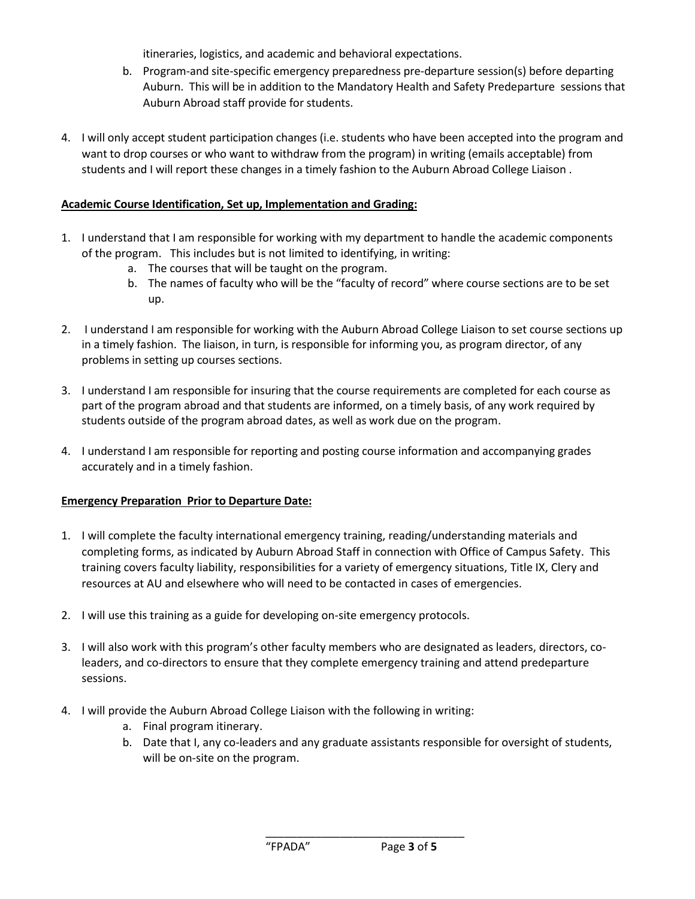itineraries, logistics, and academic and behavioral expectations.

- b. Program-and site-specific emergency preparedness pre-departure session(s) before departing Auburn. This will be in addition to the Mandatory Health and Safety Predeparture sessions that Auburn Abroad staff provide for students.
- 4. I will only accept student participation changes (i.e. students who have been accepted into the program and want to drop courses or who want to withdraw from the program) in writing (emails acceptable) from students and I will report these changes in a timely fashion to the Auburn Abroad College Liaison .

## **Academic Course Identification, Set up, Implementation and Grading:**

- 1. I understand that I am responsible for working with my department to handle the academic components of the program. This includes but is not limited to identifying, in writing:
	- a. The courses that will be taught on the program.
	- b. The names of faculty who will be the "faculty of record" where course sections are to be set up.
- 2. I understand I am responsible for working with the Auburn Abroad College Liaison to set course sections up in a timely fashion. The liaison, in turn, is responsible for informing you, as program director, of any problems in setting up courses sections.
- 3. I understand I am responsible for insuring that the course requirements are completed for each course as part of the program abroad and that students are informed, on a timely basis, of any work required by students outside of the program abroad dates, as well as work due on the program.
- 4. I understand I am responsible for reporting and posting course information and accompanying grades accurately and in a timely fashion.

# **Emergency Preparation Prior to Departure Date:**

- 1. I will complete the faculty international emergency training, reading/understanding materials and completing forms, as indicated by Auburn Abroad Staff in connection with Office of Campus Safety. This training covers faculty liability, responsibilities for a variety of emergency situations, Title IX, Clery and resources at AU and elsewhere who will need to be contacted in cases of emergencies.
- 2. I will use this training as a guide for developing on-site emergency protocols.
- 3. I will also work with this program's other faculty members who are designated as leaders, directors, coleaders, and co-directors to ensure that they complete emergency training and attend predeparture sessions.
- 4. I will provide the Auburn Abroad College Liaison with the following in writing:
	- a. Final program itinerary.
	- b. Date that I, any co-leaders and any graduate assistants responsible for oversight of students, will be on-site on the program.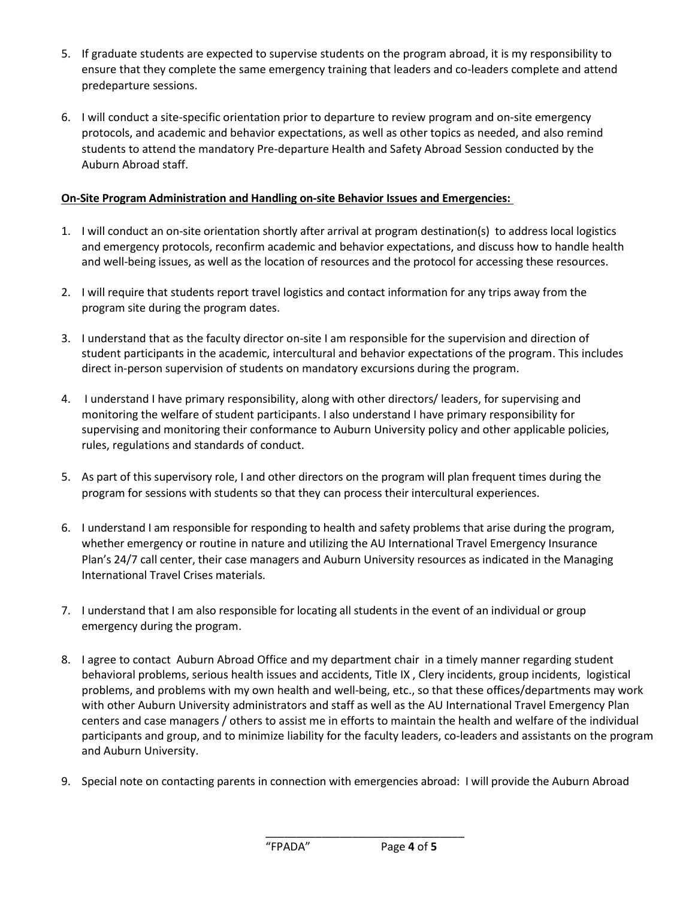- 5. If graduate students are expected to supervise students on the program abroad, it is my responsibility to ensure that they complete the same emergency training that leaders and co-leaders complete and attend predeparture sessions.
- 6. I will conduct a site-specific orientation prior to departure to review program and on-site emergency protocols, and academic and behavior expectations, as well as other topics as needed, and also remind students to attend the mandatory Pre-departure Health and Safety Abroad Session conducted by the Auburn Abroad staff.

# **On-Site Program Administration and Handling on-site Behavior Issues and Emergencies:**

- 1. I will conduct an on-site orientation shortly after arrival at program destination(s) to address local logistics and emergency protocols, reconfirm academic and behavior expectations, and discuss how to handle health and well-being issues, as well as the location of resources and the protocol for accessing these resources.
- 2. I will require that students report travel logistics and contact information for any trips away from the program site during the program dates.
- 3. I understand that as the faculty director on-site I am responsible for the supervision and direction of student participants in the academic, intercultural and behavior expectations of the program. This includes direct in-person supervision of students on mandatory excursions during the program.
- 4. I understand I have primary responsibility, along with other directors/ leaders, for supervising and monitoring the welfare of student participants. I also understand I have primary responsibility for supervising and monitoring their conformance to Auburn University policy and other applicable policies, rules, regulations and standards of conduct.
- 5. As part of this supervisory role, I and other directors on the program will plan frequent times during the program for sessions with students so that they can process their intercultural experiences.
- 6. I understand I am responsible for responding to health and safety problems that arise during the program, whether emergency or routine in nature and utilizing the AU International Travel Emergency Insurance Plan's 24/7 call center, their case managers and Auburn University resources as indicated in the Managing International Travel Crises materials.
- 7. I understand that I am also responsible for locating all students in the event of an individual or group emergency during the program.
- 8. I agree to contact Auburn Abroad Office and my department chair in a timely manner regarding student behavioral problems, serious health issues and accidents, Title IX , Clery incidents, group incidents, logistical problems, and problems with my own health and well-being, etc., so that these offices/departments may work with other Auburn University administrators and staff as well as the AU International Travel Emergency Plan centers and case managers / others to assist me in efforts to maintain the health and welfare of the individual participants and group, and to minimize liability for the faculty leaders, co-leaders and assistants on the program and Auburn University.
- 9. Special note on contacting parents in connection with emergencies abroad: I will provide the Auburn Abroad